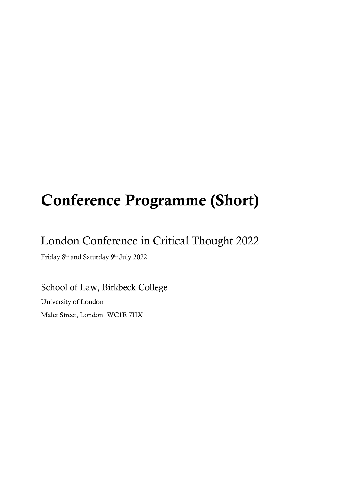# Conference Programme (Short)

## London Conference in Critical Thought 2022

Friday 8<sup>th</sup> and Saturday 9<sup>th</sup> July 2022

School of Law, Birkbeck College University of London Malet Street, London, WC1E 7HX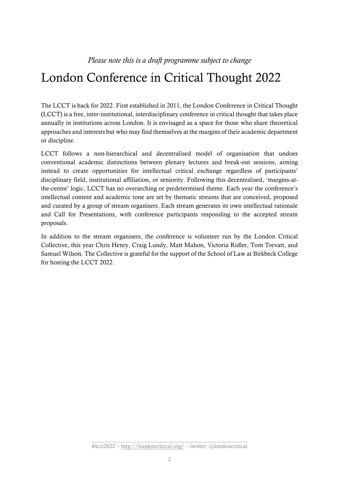# London Conference in Critical Thought 2022

The LCCT is back for 2022. First established in 2011, the London Conference in Critical Thought (LCCT) is a free, inter-institutional, interdisciplinary conference in critical thought that takes place annually in institutions across London. It is envisaged as a space for those who share theoretical approaches and interests but who may find themselves at the margins of their academic department or discipline.

LCCT follows a non-hierarchical and decentralised model of organisation that undoes conventional academic distinctions between plenary lectures and break-out sessions, aiming instead to create opportunities for intellectual critical exchange regardless of participants' disciplinary field, institutional affiliation, or seniority. Following this decentralised, 'margins-atthe-centre' logic, LCCT has no overarching or predetermined theme. Each year the conference's intellectual content and academic tone are set by thematic streams that are conceived, proposed and curated by a group of stream organisers. Each stream generates its own intellectual rationale and Call for Presentations, with conference participants responding to the accepted stream proposals.

In addition to the stream organisers, the conference is volunteer run by the London Critical Collective, this year Chris Henry, Craig Lundy, Matt Mahon, Victoria Ridler, Tom Trevatt, and Samuel Wilson. The Collective is grateful for the support of the School of Law at Birkbeck College for hosting the LCCT 2022.

\_\_\_\_\_\_\_\_\_\_\_\_\_\_\_\_\_\_\_\_\_\_\_\_\_\_\_\_\_\_\_\_\_\_\_\_\_\_\_\_\_\_\_\_\_\_\_\_\_\_\_\_\_\_\_ #lcct2022 – <http://londoncritical.org/> – twitter: @londoncritical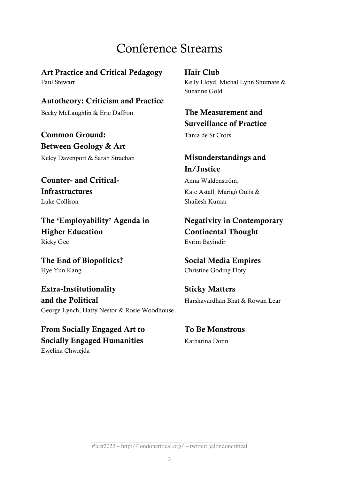# Conference Streams

Art Practice and Critical Pedagogy Hair Club Paul Stewart Kelly Lloyd, Michal Lynn Shumate &

Autotheory: Criticism and Practice Becky McLaughlin & Eric Daffron The Measurement and

**Common Ground:** Tania de St Croix Between Geology & Art

Counter- and Critical- Anna Waldenström, Infrastructures Kate Astall, Marigó Oulis & Luke Collison Shailesh Kumar

The 'Employability' Agenda in Negativity in Contemporary Higher Education Continental Thought Ricky Gee Evrim Bayindir

The End of Biopolitics? Social Media Empires Hye Yun Kang Christine Goding-Doty

Extra-Institutionality Sticky Matters and the Political **Harshavardhan Bhat & Rowan Lear** George Lynch, Hatty Nestor & Rosie Woodhouse

From Socially Engaged Art to To Be Monstrous Socially Engaged Humanities Katharina Donn Ewelina Chwiejda

Suzanne Gold

# Surveillance of Practice

### Kelcy Davenport & Sarah Strachan Misunderstandings and In/Justice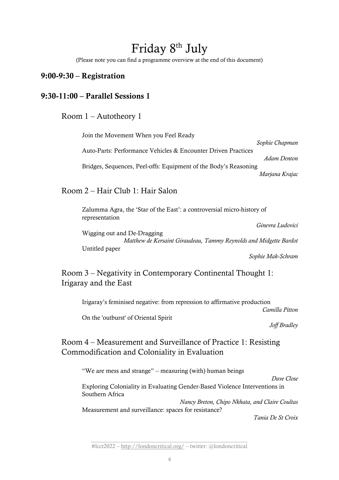# Friday 8th July

(Please note you can find a programme overview at the end of this document)

#### 9:00-9:30 – Registration

#### 9:30-11:00 – Parallel Sessions 1

#### Room 1 – Autotheory 1

Join the Movement When you Feel Ready *Sophie Chapman* Auto-Parts: Performance Vehicles & Encounter Driven Practices *Adam Denton* Bridges, Sequences, Peel-offs: Equipment of the Body's Reasoning *Marjana Krajac*

#### Room 2 – Hair Club 1: Hair Salon

Zalumma Agra, the 'Star of the East': a controversial micro-history of representation

*Ginevra Ludovici* Wigging out and De-Dragging *Matthew de Kersaint Giraudeau, Tammy Reynolds and Midgette Bardot* Untitled paper

*Sophie Mak-Schram*

## Room 3 – Negativity in Contemporary Continental Thought 1: Irigaray and the East

Irigaray's feminised negative: from repression to affirmative production

*Camilla Pitton*

On the 'outburst' of Oriental Spirit

*Joff Bradley*

### Room 4 – Measurement and Surveillance of Practice 1: Resisting Commodification and Coloniality in Evaluation

"We are mess and strange" – measuring (with) human beings

*Dave Close*

Exploring Coloniality in Evaluating Gender-Based Violence Interventions in Southern Africa

*Nancy Breton, Chipo Nkhata, and Claire Coultas* Measurement and surveillance: spaces for resistance?

*Tania De St Croix*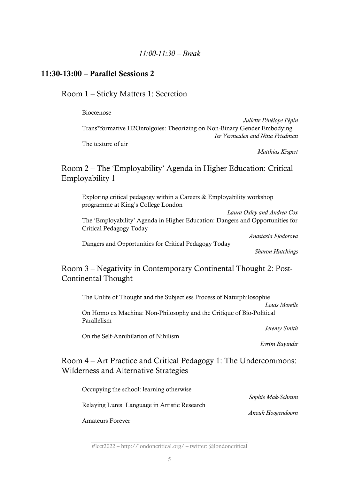#### 11:30-13:00 – Parallel Sessions 2

Room 1 – Sticky Matters 1: Secretion

#### Biocœnose

*Juliette Pénélope Pépin* Trans\*formative H2Ontolgoies: Theorizing on Non-Binary Gender Embodying *Ier Vermeulen and Nina Friedman*

The texture of air

*Matthias Kispert*

Room 2 – The 'Employability' Agenda in Higher Education: Critical Employability 1

Exploring critical pedagogy within a Careers & Employability workshop programme at King's College London

*Laura Oxley and Andrea Cox* The 'Employability' Agenda in Higher Education: Dangers and Opportunities for Critical Pedagogy Today

*Anastasia Fjodorova*

Dangers and Opportunities for Critical Pedagogy Today

*Sharon Hutchings*

Room 3 – Negativity in Contemporary Continental Thought 2: Post-Continental Thought

The Unlife of Thought and the Subjectless Process of Naturphilosophie

*Louis Morelle*

On Homo ex Machina: Non-Philosophy and the Critique of Bio-Political Parallelism

*Jeremy Smith*

On the Self-Annihilation of Nihilism

*Evrim Bayındır*

*Anouk Hoogendoorn*

## Room 4 – Art Practice and Critical Pedagogy 1: The Undercommons: Wilderness and Alternative Strategies

Occupying the school: learning otherwise *Sophie Mak-Schram*

Relaying Lures: Language in Artistic Research

Amateurs Forever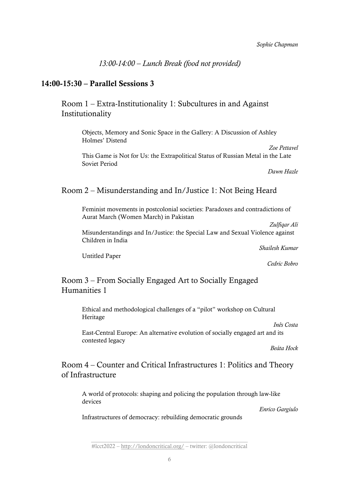*13:00-14:00 – Lunch Break (food not provided)*

#### 14:00-15:30 – Parallel Sessions 3

Room 1 – Extra-Institutionality 1: Subcultures in and Against Institutionality

Objects, Memory and Sonic Space in the Gallery: A Discussion of Ashley Holmes' Distend

This Game is Not for Us: the Extrapolitical Status of Russian Metal in the Late Soviet Period

*Dawn Hazle*

*Zoe Pettavel* 

#### Room 2 – Misunderstanding and In/Justice 1: Not Being Heard

Feminist movements in postcolonial societies: Paradoxes and contradictions of Aurat March (Women March) in Pakistan

*Zulfiqar Ali* Misunderstandings and In/Justice: the Special Law and Sexual Violence against Children in India

*Shailesh Kumar*

Untitled Paper

*Cedric Bobro*

### Room 3 – From Socially Engaged Art to Socially Engaged Humanities 1

Ethical and methodological challenges of a "pilot" workshop on Cultural Heritage

*Inês Costa*

East-Central Europe: An alternative evolution of socially engaged art and its contested legacy

*Beáta Hock*

#### Room 4 – Counter and Critical Infrastructures 1: Politics and Theory of Infrastructure

A world of protocols: shaping and policing the population through law-like devices

*Enrico Gargiulo*

Infrastructures of democracy: rebuilding democratic grounds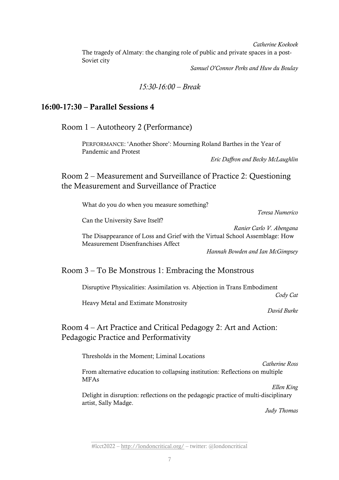*Catherine Koekoek* The tragedy of Almaty: the changing role of public and private spaces in a post-Soviet city

*Samuel O'Connor Perks and Huw du Boulay*

#### *15:30-16:00 – Break*

#### 16:00-17:30 – Parallel Sessions 4

Room 1 – Autotheory 2 (Performance)

PERFORMANCE: 'Another Shore': Mourning Roland Barthes in the Year of Pandemic and Protest

*Eric Daffron and Becky McLaughlin*

Room 2 – Measurement and Surveillance of Practice 2: Questioning the Measurement and Surveillance of Practice

What do you do when you measure something?

*Teresa Numerico*

Can the University Save Itself?

*Ranier Carlo V. Abengana*

The Disappearance of Loss and Grief with the Virtual School Assemblage: How Measurement Disenfranchises Affect

*Hannah Bowden and Ian McGimpsey*

#### Room 3 – To Be Monstrous 1: Embracing the Monstrous

Disruptive Physicalities: Assimilation vs. Abjection in Trans Embodiment

*Cody Cat*

Heavy Metal and Extimate Monstrosity

*David Burke*

Room 4 – Art Practice and Critical Pedagogy 2: Art and Action: Pedagogic Practice and Performativity

Thresholds in the Moment; Liminal Locations

*Catherine Ross*

From alternative education to collapsing institution: Reflections on multiple MFAs

*Ellen King* Delight in disruption: reflections on the pedagogic practice of multi-disciplinary artist, Sally Madge.

*Judy Thomas*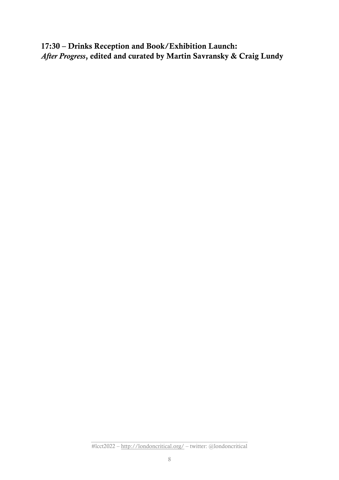17:30 – Drinks Reception and Book/Exhibition Launch: *After Progress*, edited and curated by Martin Savransky & Craig Lundy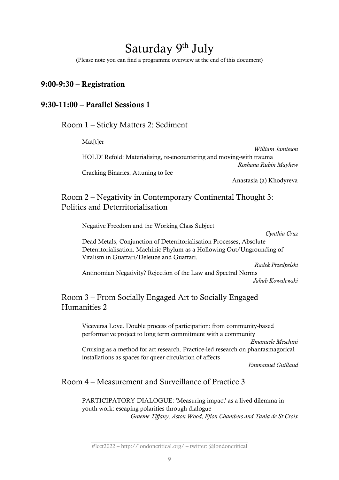# Saturday 9<sup>th</sup> July

(Please note you can find a programme overview at the end of this document)

#### 9:00-9:30 – Registration

#### 9:30-11:00 – Parallel Sessions 1

Room 1 – Sticky Matters 2: Sediment

Mat[t]er

*William Jamieson* HOLD! Refold: Materialising, re-encountering and moving-with trauma *Roshana Rubin Mayhew* Cracking Binaries, Attuning to Ice

Anastasia (a) Khodyreva

## Room 2 – Negativity in Contemporary Continental Thought 3: Politics and Deterritorialisation

Negative Freedom and the Working Class Subject *Cynthia Cruz* Dead Metals, Conjunction of Deterritorialisation Processes, Absolute Deterritorialisation. Machinic Phylum as a Hollowing Out/Ungrounding of Vitalism in Guattari/Deleuze and Guattari. *Radek Przedpelski* Antinomian Negativity? Rejection of the Law and Spectral Norms

*Jakub Kowalewski*

### Room 3 – From Socially Engaged Art to Socially Engaged Humanities 2

Viceversa Love. Double process of participation: from community-based performative project to long term commitment with a community

*Emanuele Meschini*

Cruising as a method for art research. Practice-led research on phantasmagorical installations as spaces for queer circulation of affects

*Emmanuel Guillaud*

#### Room 4 – Measurement and Surveillance of Practice 3

PARTICIPATORY DIALOGUE: 'Measuring impact' as a lived dilemma in youth work: escaping polarities through dialogue *Graeme Tiffany, Aston Wood, Ffion Chambers and Tania de St Croix*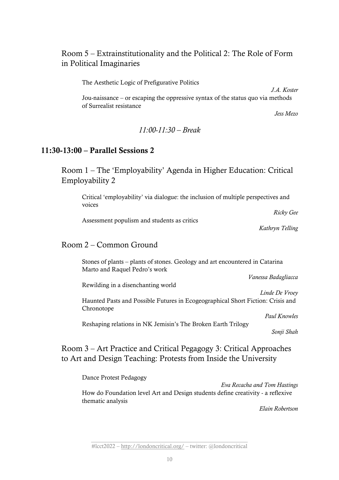## Room 5 – Extrainstitutionality and the Political 2: The Role of Form in Political Imaginaries

The Aesthetic Logic of Prefigurative Politics

*J.A. Koster*

Jou-naissance – or escaping the oppressive syntax of the status quo via methods of Surrealist resistance

*Jess Mezo*

#### *11:00-11:30 – Break*

#### 11:30-13:00 – Parallel Sessions 2

Room 1 – The 'Employability' Agenda in Higher Education: Critical Employability 2

Critical 'employability' via dialogue: the inclusion of multiple perspectives and voices

Assessment populism and students as critics

*Ricky Gee*

*Kathryn Telling*

#### Room 2 – Common Ground

Stones of plants – plants of stones. Geology and art encountered in Catarina Marto and Raquel Pedro's work

*Vanessa Badagliacca*

Rewilding in a disenchanting world

Haunted Pasts and Possible Futures in Ecogeographical Short Fiction: Crisis and Chronotope

*Paul Knowles* 

*Linde De Vroey*

Reshaping relations in NK Jemisin's The Broken Earth Trilogy

*Sonji Shah*

Room 3 – Art Practice and Critical Pegagogy 3: Critical Approaches to Art and Design Teaching: Protests from Inside the University

Dance Protest Pedagogy

*Eva Recacha and Tom Hastings* How do Foundation level Art and Design students define creativity - a reflexive thematic analysis

*Elain Robertson*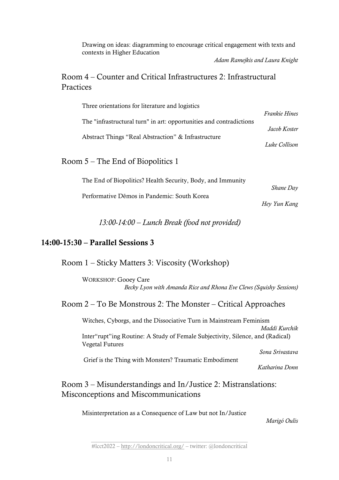Drawing on ideas: diagramming to encourage critical engagement with texts and contexts in Higher Education

*Adam Ramejkis and Laura Knight*

#### Room 4 – Counter and Critical Infrastructures 2: Infrastructural Practices

| Three orientations for literature and logistics                     |                      |
|---------------------------------------------------------------------|----------------------|
| The "infrastructural turn" in art: opportunities and contradictions | <b>Frankie Hines</b> |
|                                                                     | Jacob Koster         |
| Abstract Things "Real Abstraction" & Infrastructure                 | Luke Collison        |
|                                                                     |                      |
| Room 5 – The End of Biopolitics 1                                   |                      |
| The End of Biopolitics? Health Security, Body, and Immunity         |                      |
| Performative Demos in Pandemic: South Korea                         | Shane Day            |
|                                                                     | Hey Yun Kang         |

*13:00-14:00 – Lunch Break (food not provided)*

#### 14:00-15:30 – Parallel Sessions 3

Room 1 – Sticky Matters 3: Viscosity (Workshop)

WORKSHOP: Gooey Care *Becky Lyon with Amanda Rice and Rhona Eve Clews (Squishy Sessions)*

### Room 2 – To Be Monstrous 2: The Monster – Critical Approaches

Witches, Cyborgs, and the Dissociative Turn in Mainstream Feminism *Maddi Kurchik* Inter"rupt"ing Routine: A Study of Female Subjectivity, Silence, and (Radical) Vegetal Futures *Sona Srivastava* Grief is the Thing with Monsters? Traumatic Embodiment

*Katharina Donn*

## Room 3 – Misunderstandings and In/Justice 2: Mistranslations: Misconceptions and Miscommunications

Misinterpretation as a Consequence of Law but not In/Justice

*Marigó Oulis*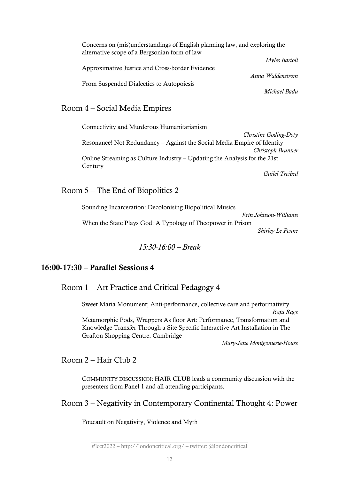| Concerns on (mis)understandings of English planning law, and exploring the<br>alternative scope of a Bergsonian form of law |
|-----------------------------------------------------------------------------------------------------------------------------|
| Myles Bartoli                                                                                                               |
| Approximative Justice and Cross-border Evidence                                                                             |
| Anna Waldenström<br>From Suspended Dialectics to Autopoiesis                                                                |
| Michael Badu                                                                                                                |

#### Room 4 – Social Media Empires

Connectivity and Murderous Humanitarianism *Christine Goding-Doty* Resonance! Not Redundancy – Against the Social Media Empire of Identity *Christoph Brunner* Online Streaming as Culture Industry – Updating the Analysis for the 21st **Century** *Guilel Treibed*

#### Room 5 – The End of Biopolitics 2

Sounding Incarceration: Decolonising Biopolitical Musics *Erin Johnson-Williams* When the State Plays God: A Typology of Theopower in Prison *Shirley Le Penne*

*15:30-16:00 – Break*

#### 16:00-17:30 – Parallel Sessions 4

Room 1 – Art Practice and Critical Pedagogy 4

Sweet Maria Monument; Anti-performance, collective care and performativity *Raju Rage* Metamorphic Pods, Wrappers As floor Art: Performance, Transformation and Knowledge Transfer Through a Site Specific Interactive Art Installation in The Grafton Shopping Centre, Cambridge

*Mary-Jane Montgomerie-House*

Room 2 – Hair Club 2

COMMUNITY DISCUSSION: HAIR CLUB leads a community discussion with the presenters from Panel 1 and all attending participants.

Room 3 – Negativity in Contemporary Continental Thought 4: Power

Foucault on Negativity, Violence and Myth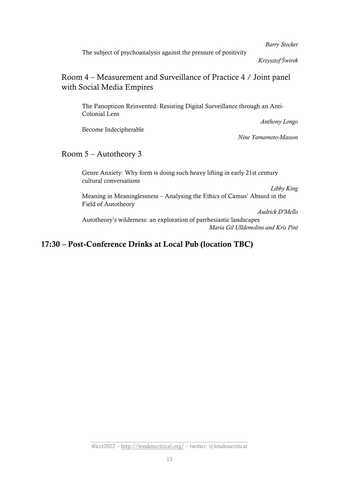*Barry Stocker*

The subject of psychoanalysis against the pressure of positivity

*Krzysztof Świrek*

#### Room 4 – Measurement and Surveillance of Practice 4 / Joint panel with Social Media Empires

The Panopticon Reinvented: Resisting Digital Surveillance through an Anti-Colonial Lens

Become Indecipherable

*Nine Yamamoto-Masson*

*Anthony Longo*

#### Room 5 – Autotheory 3

Genre Anxiety: Why form is doing such heavy lifting in early 21st century cultural conversations

*Libby King*

Meaning in Meaninglessness – Analysing the Ethics of Camus' Absurd in the Field of Autotheory

*Audrick D'Mello*

Autotheory's wilderness: an exploration of parrhesiastic landscapes *Maria Gil Ulldemolins and Kris Pint*

### 17:30 – Post-Conference Drinks at Local Pub (location TBC)